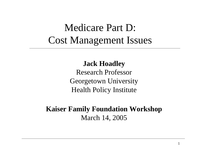## Medicare Part D: Cost Management Issues

### **Jack Hoadley**

Research ProfessorGeorgetown University Health Policy Institute

**Kaiser Family Foundation Workshop** March 14, 2005

1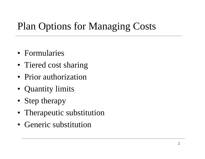# Plan Options for Managing Costs

- Formularies
- Tiered cost sharing
- Prior authorization
- Quantity limits
- Step therapy
- Therapeutic substitution
- Generic substitution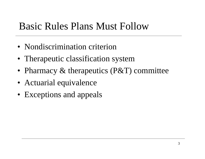### Basic Rules Plans Must Follow

- Nondiscrimination criterion
- Therapeutic classification system
- Pharmacy & therapeutics (P&T) committee
- Actuarial equivalence
- Exceptions and appeals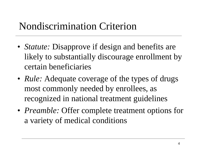### Nondiscrimination Criterion

- *Statute:* Disapprove if design and benefits are likely to substantially discourage enrollment by certain beneficiaries
- *Rule:* Adequate coverage of the types of drugs most commonly needed by enrollees, as recognized in national treatment guidelines
- *Preamble:* Offer complete treatment options for a variety of medical conditions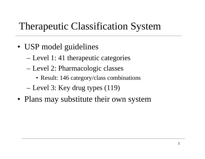### Therapeutic Classification System

- USP model guidelines
	- Level 1: 41 therapeutic categories
	- – Level 2: Pharmacologic classes
		- Result: 146 category/class combinations
	- –Level 3: Key drug types (119)
- Plans may substitute their own system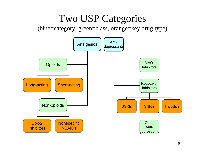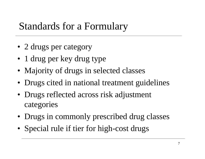### Standards for a Formulary

- 2 drugs per category
- 1 drug per key drug type
- Majority of drugs in selected classes
- Drugs cited in national treatment guidelines
- Drugs reflected across risk adjustment categories
- Drugs in commonly prescribed drug classes
- Special rule if tier for high-cost drugs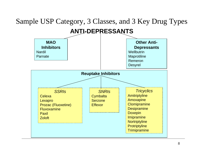#### Sample USP Category, 3 Classes, and 3 Key Drug Types **MAO Inhibitors**Nardil**Other Anti-Depressants Wellbutrin ANTI-DEPRESSANTS**

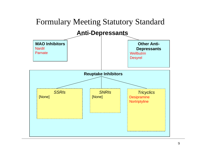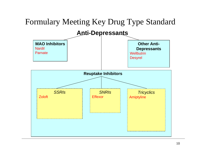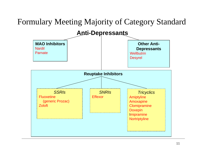### Formulary Meeting Majority of Category Standard

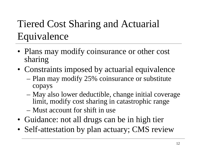# Tiered Cost Sharing and Actuarial Equivalence

- Plans may modify coinsurance or other cost sharing
- Constraints imposed by actuarial equivalence
	- Plan may modify 25% coinsurance or substitute copays
	- May also lower deductible, change initial coverage limit, modify cost sharing in catastrophic range
	- –Must account for shift in use
- Guidance: not all drugs can be in high tier
- Self-attestation by plan actuary; CMS review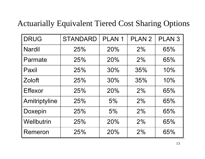### Actuarially Equivalent Tiered Cost Sharing Options

| <b>DRUG</b>    | <b>STANDARD</b> | PLAN <sub>1</sub> | PLAN <sub>2</sub> | <b>PLAN 3</b> |
|----------------|-----------------|-------------------|-------------------|---------------|
| <b>Nardil</b>  | 25%             | 20%               | 2%                | 65%           |
| Parmate        | 25%             | 20%               | 2%                | 65%           |
| Paxil          | 25%             | 30%               | 35%               | 10%           |
| <b>Zoloft</b>  | 25%             | 30%               | 35%               | 10%           |
| <b>Effexor</b> | 25%             | 20%               | 2%                | 65%           |
| Amitriptyline  | 25%             | 5%                | 2%                | 65%           |
| Doxepin        | 25%             | 5%                | 2%                | 65%           |
| Wellbutrin     | 25%             | 20%               | 2%                | 65%           |
| Remeron        | 25%             | 20%               | 2%                | 65%           |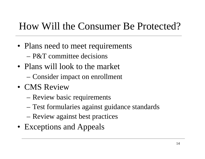### How Will the Consumer Be Protected?

- Plans need to meet requirements –P&T committee decisions
- Plans will look to the market – Consider impact on enrollment
- CMS Review
	- Review basic requirements
	- –Test formularies against guidance standards
	- Review against best practices
- Exceptions and Appeals